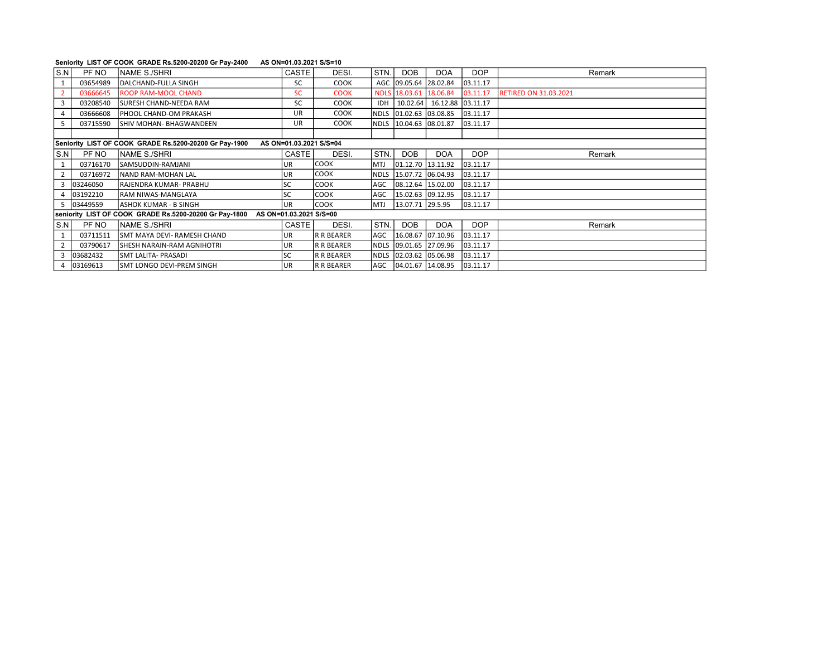## Seniority LIST OF COOK GRADE Rs.5200-20200 Gr Pay-2400 AS ON=01.03.2021 S/S=10

| l S.N                                                                             | PF NO      | NAME S./SHRI                  | CASTE     | DESI.             | STN.        | <b>DOB</b>             | <b>DOA</b>        | <b>DOP</b> | Remark                       |  |
|-----------------------------------------------------------------------------------|------------|-------------------------------|-----------|-------------------|-------------|------------------------|-------------------|------------|------------------------------|--|
|                                                                                   | 03654989   | DALCHAND-FULLA SINGH          | <b>SC</b> | <b>COOK</b>       |             | AGC 09.05.64 28.02.84  |                   | 03.11.17   |                              |  |
|                                                                                   | 03666645   | <b>ROOP RAM-MOOL CHAND</b>    | <b>SC</b> | <b>COOK</b>       | <b>NDLS</b> | 18.03.61 18.06.84      |                   | 03.11.17   | <b>RETIRED ON 31.03.2021</b> |  |
| 3                                                                                 | 03208540   | <b>SURESH CHAND-NEEDA RAM</b> | <b>SC</b> | COOK              | <b>IDH</b>  | 10.02.64               | 16.12.88 03.11.17 |            |                              |  |
|                                                                                   | 03666608   | PHOOL CHAND-OM PRAKASH        | UR.       | COOK              |             | NDLS 01.02.63 03.08.85 |                   | 03.11.17   |                              |  |
| 5                                                                                 | 03715590   | İSHIV MOHAN- BHAGWANDEEN      | <b>UR</b> | <b>COOK</b>       |             | NDLS 10.04.63 08.01.87 |                   | 03.11.17   |                              |  |
|                                                                                   |            |                               |           |                   |             |                        |                   |            |                              |  |
| Seniority LIST OF COOK GRADE Rs.5200-20200 Gr Pay-1900<br>AS ON=01.03.2021 S/S=04 |            |                               |           |                   |             |                        |                   |            |                              |  |
| S.N                                                                               | PF NO      | <b>INAME S./SHRI</b>          | CASTE     | DESI.             | STN.        | <b>DOB</b>             | <b>DOA</b>        | <b>DOP</b> | Remark                       |  |
|                                                                                   | 03716170   | SAMSUDDIN-RAMJANI             | UR        | <b>COOK</b>       | <b>MTJ</b>  | 01.12.70 13.11.92      |                   | 03.11.17   |                              |  |
| 2                                                                                 | 03716972   | <b>NAND RAM-MOHAN LAL</b>     | UR        | Iсоок             |             | NDLS 15.07.72 06.04.93 |                   | 03.11.17   |                              |  |
| 3                                                                                 | 03246050   | lRAJENDRA KUMAR- PRABHU       | SC        | lcook             | AGC         | 08.12.64 15.02.00      |                   | 03.11.17   |                              |  |
|                                                                                   | 4 03192210 | <b>RAM NIWAS-MANGLAYA</b>     | SC        | <b>COOK</b>       | AGC         | 15.02.63 09.12.95      |                   | 03.11.17   |                              |  |
|                                                                                   | 5 03449559 | ASHOK KUMAR - B SINGH         | lur       | <b>COOK</b>       | <b>IMTJ</b> | 13.07.71 29.5.95       |                   | 03.11.17   |                              |  |
| seniority LIST OF COOK GRADE Rs.5200-20200 Gr Pay-1800<br>AS ON=01.03.2021 S/S=00 |            |                               |           |                   |             |                        |                   |            |                              |  |
| S.N                                                                               | PF NO      | <b>INAME S./SHRI</b>          | CASTE     | DESI.             | STN.        | <b>DOB</b>             | <b>DOA</b>        | <b>DOP</b> | Remark                       |  |
|                                                                                   | 03711511   | SMT MAYA DEVI- RAMESH CHAND   | UR        | R R BEARER        | AGC         | 16.08.67 07.10.96      |                   | 03.11.17   |                              |  |
| $\overline{2}$                                                                    | 03790617   | İSHESH NARAIN-RAM AGNIHOTRI   | UR.       | <b>R R BEARER</b> |             | NDLS 09.01.65 27.09.96 |                   | 03.11.17   |                              |  |
| 3                                                                                 | 03682432   | İSMT LALITA- PRASADI          | SC        | R R BEARER        |             | NDLS 02.03.62 05.06.98 |                   | 03.11.17   |                              |  |
|                                                                                   | 4 03169613 | ISMT LONGO DEVI-PREM SINGH    | UR        | R R BEARER        |             | AGC 04.01.67 14.08.95  |                   | 03.11.17   |                              |  |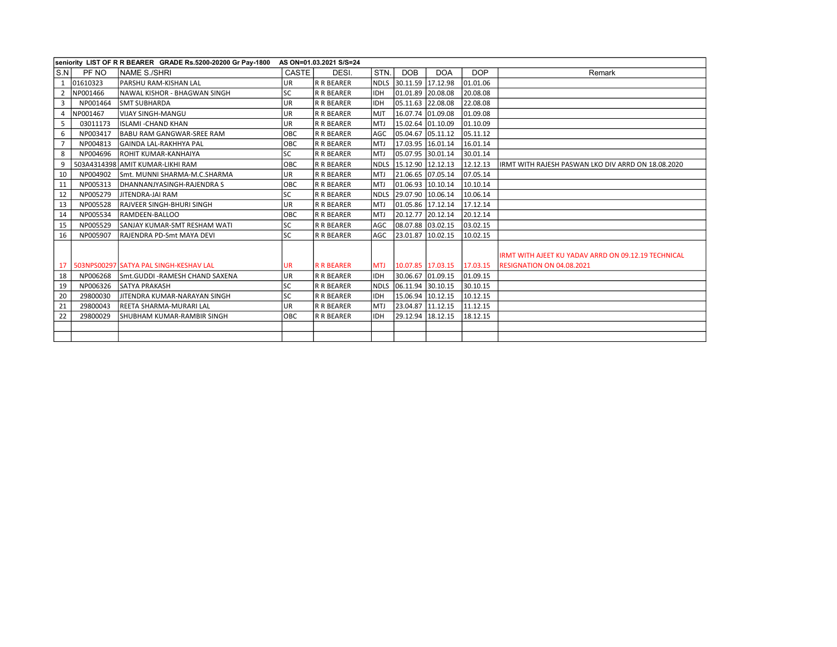| seniority LIST OF R R BEARER GRADE Rs.5200-20200 Gr Pay-1800<br>AS ON=01.03.2021 S/S=24 |          |                                        |           |                   |             |                        |            |            |                                                     |
|-----------------------------------------------------------------------------------------|----------|----------------------------------------|-----------|-------------------|-------------|------------------------|------------|------------|-----------------------------------------------------|
| S.N                                                                                     | PF NO    | NAME S./SHRI                           | CASTE     | DESI.             | STN.        | <b>DOB</b>             | <b>DOA</b> | <b>DOP</b> | Remark                                              |
|                                                                                         | 01610323 | PARSHU RAM-KISHAN LAL                  | UR        | R R BEARER        |             | NDLS 30.11.59 17.12.98 |            | 01.01.06   |                                                     |
|                                                                                         | NP001466 | INAWAL KISHOR - BHAGWAN SINGH          | <b>SC</b> | R R BEARER        | <b>IDH</b>  | 01.01.89 20.08.08      |            | 20.08.08   |                                                     |
| 3                                                                                       | NP001464 | <b>SMT SUBHARDA</b>                    | UR        | <b>R R BEARER</b> | Іірн        | 05.11.63 22.08.08      |            | 22.08.08   |                                                     |
| 4                                                                                       | NP001467 | VIJAY SINGH-MANGU                      | UR        | <b>R R BEARER</b> | <b>IMJT</b> | 16.07.74 01.09.08      |            | 01.09.08   |                                                     |
| 5.                                                                                      | 03011173 | IISLAMI -CHAND KHAN                    | UR        | <b>R R BEARER</b> | IMTJ        | 15.02.64 01.10.09      |            | 01.10.09   |                                                     |
| 6                                                                                       | NP003417 | BABU RAM GANGWAR-SREE RAM              | OBC       | R R BEARER        | lagc.       | 05.04.67 05.11.12      |            | 05.11.12   |                                                     |
| $\overline{7}$                                                                          | NP004813 | İGAINDA LAL-RAKHHYA PAL                | OBC       | <b>R R BEARER</b> | IMTJ        | 17.03.95 16.01.14      |            | 16.01.14   |                                                     |
| 8                                                                                       | NP004696 | İROHIT KUMAR-KANHAIYA                  | <b>SC</b> | <b>R R BEARER</b> | IMTJ        | 05.07.95 30.01.14      |            | 30.01.14   |                                                     |
|                                                                                         |          | 503A4314398 AMIT KUMAR-LIKHI RAM       | OBC       | <b>R R BEARER</b> |             | NDLS 15.12.90 12.12.13 |            | 12.12.13   | IRMT WITH RAJESH PASWAN LKO DIV ARRD ON 18.08.2020  |
| 10                                                                                      | NP004902 | Smt. MUNNI SHARMA-M.C.SHARMA           | UR.       | <b>R R BEARER</b> | IMTJ        | 21.06.65 07.05.14      |            | 07.05.14   |                                                     |
| 11                                                                                      | NP005313 | DHANNANJYASINGH-RAJENDRA S             | OBC       | <b>R R BEARER</b> | IMTJ        | 01.06.93 10.10.14      |            | 10.10.14   |                                                     |
| 12                                                                                      | NP005279 | JITENDRA-JAI RAM                       | <b>SC</b> | <b>R R BEARER</b> | INDLS       | 29.07.90 10.06.14      |            | 10.06.14   |                                                     |
| 13                                                                                      | NP005528 | RAJVEER SINGH-BHURI SINGH              | UR        | R R BEARER        | IMTJ        | 01.05.86 17.12.14      |            | 17.12.14   |                                                     |
| 14                                                                                      | NP005534 | RAMDEEN-BALLOO                         | OBC       | <b>R R BEARER</b> | IMTJ        | 20.12.77 20.12.14      |            | 20.12.14   |                                                     |
| 15                                                                                      | NP005529 | İSANJAY KUMAR-SMT RESHAM WATI          | <b>SC</b> | <b>R R BEARER</b> | AGC         | 08.07.88 03.02.15      |            | 03.02.15   |                                                     |
| 16                                                                                      | NP005907 | RAJENDRA PD-Smt MAYA DEVI              | <b>SC</b> | <b>R R BEARER</b> | <b>AGC</b>  | 23.01.87 10.02.15      |            | 10.02.15   |                                                     |
|                                                                                         |          |                                        |           |                   |             |                        |            |            |                                                     |
|                                                                                         |          |                                        |           |                   |             |                        |            |            | IRMT WITH AJEET KU YADAV ARRD ON 09.12.19 TECHNICAL |
| 17                                                                                      |          | 503NPS00297 SATYA PAL SINGH-KESHAV LAL | UR        | <b>R R BEARER</b> | <b>MTJ</b>  | 10.07.85 17.03.15      |            | 17.03.15   | <b>RESIGNATION ON 04.08.2021</b>                    |
| 18                                                                                      | NP006268 | Smt.GUDDI-RAMESH CHAND SAXENA          | <b>UR</b> | R R BEARER        | <b>IDH</b>  | 30.06.67 01.09.15      |            | 01.09.15   |                                                     |
| 19                                                                                      | NP006326 | <b>SATYA PRAKASH</b>                   | <b>SC</b> | <b>R R BEARER</b> |             | NDLS 06.11.94 30.10.15 |            | 30.10.15   |                                                     |
| 20                                                                                      | 29800030 | IJITENDRA KUMAR-NARAYAN SINGH          | <b>SC</b> | <b>R R BEARER</b> | lidh        | 15.06.94 10.12.15      |            | 10.12.15   |                                                     |
| 21                                                                                      | 29800043 | REETA SHARMA-MURARI LAL                | UR        | R R BEARER        | IMTJ        | 23.04.87 11.12.15      |            | 11.12.15   |                                                     |
| 22                                                                                      | 29800029 | İSHUBHAM KUMAR-RAMBIR SINGH            | OBC       | <b>R R BEARER</b> | <b>IDH</b>  | 29.12.94 18.12.15      |            | 18.12.15   |                                                     |
|                                                                                         |          |                                        |           |                   |             |                        |            |            |                                                     |
|                                                                                         |          |                                        |           |                   |             |                        |            |            |                                                     |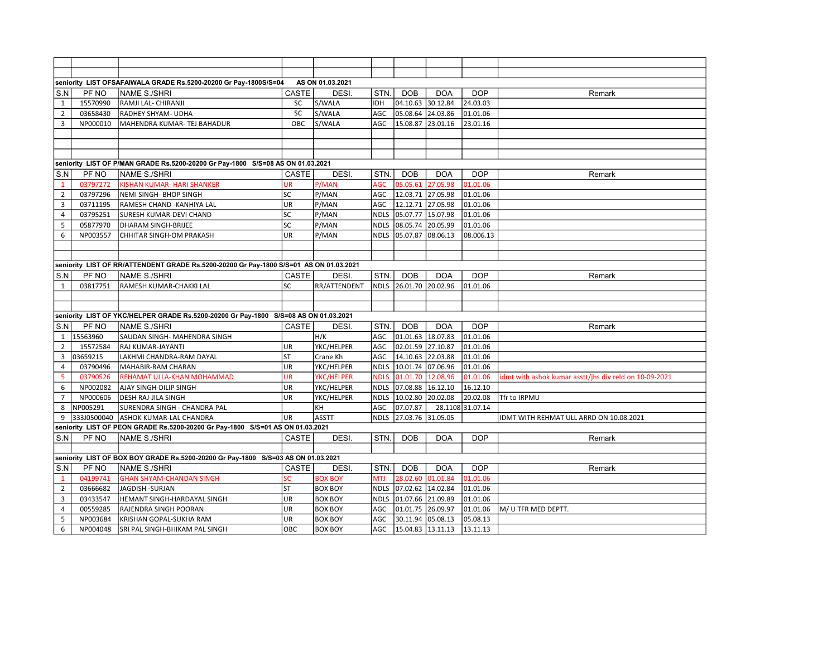|                |          | seniority LIST OFSAFAIWALA GRADE Rs.5200-20200 Gr Pay-1800S/S=04                       |              | AS ON 01.03.2021    |             |                        |                   |                  |                                                        |
|----------------|----------|----------------------------------------------------------------------------------------|--------------|---------------------|-------------|------------------------|-------------------|------------------|--------------------------------------------------------|
| S.N            | PF NO    | NAME S./SHRI                                                                           | CASTE        | DESI.               | STN.        | <b>DOB</b>             | <b>DOA</b>        | <b>DOP</b>       | Remark                                                 |
| $\mathbf{1}$   | 15570990 | RAMJI LAL- CHIRANJI                                                                    | SC           | S/WALA              | <b>IDH</b>  | 04.10.63 30.12.84      |                   | 24.03.03         |                                                        |
| $\overline{2}$ | 03658430 | RADHEY SHYAM- UDHA                                                                     | SC           | S/WALA              | AGC         | 05.08.64 24.03.86      |                   | 01.01.06         |                                                        |
| 3              | NP000010 | MAHENDRA KUMAR- TEJ BAHADUR                                                            | OBC          | S/WALA              | AGC         | 15.08.87 23.01.16      |                   | 23.01.16         |                                                        |
|                |          |                                                                                        |              |                     |             |                        |                   |                  |                                                        |
|                |          |                                                                                        |              |                     |             |                        |                   |                  |                                                        |
|                |          |                                                                                        |              |                     |             |                        |                   |                  |                                                        |
|                |          | seniority LIST OF P/MAN GRADE Rs.5200-20200 Gr Pay-1800 S/S=08 AS ON 01.03.2021        |              |                     |             |                        |                   |                  |                                                        |
| S.N            | PF NO    | <b>NAME S./SHRI</b>                                                                    | <b>CASTE</b> | DESI.               | STN.        | <b>DOB</b>             | <b>DOA</b>        | <b>DOP</b>       | Remark                                                 |
| $\mathbf{1}$   | 03797272 | <b>KISHAN KUMAR- HARI SHANKER</b>                                                      | <b>UR</b>    | P/MAN               | AGC         | 05.05.61               | 27.05.98          | 01.01.06         |                                                        |
| $\overline{2}$ | 03797296 | NEMI SINGH- BHOP SINGH                                                                 | <b>SC</b>    | P/MAN               | AGC         | 12.03.71 27.05.98      |                   | 01.01.06         |                                                        |
| 3              | 03711195 | RAMESH CHAND - KANHIYA LAL                                                             | UR           | P/MAN               | AGC         | 12.12.71 27.05.98      |                   | 01.01.06         |                                                        |
| $\overline{4}$ | 03795251 | SURESH KUMAR-DEVI CHAND                                                                | SC           | P/MAN               |             | NDLS 05.07.77 15.07.98 |                   | 01.01.06         |                                                        |
| 5              | 05877970 | DHARAM SINGH-BRIJEE                                                                    | <b>SC</b>    | P/MAN               | <b>NDLS</b> | 08.05.74 20.05.99      |                   | 01.01.06         |                                                        |
| 6              | NP003557 | CHHITAR SINGH-OM PRAKASH                                                               | UR           | P/MAN               | <b>NDLS</b> | 05.07.87 08.06.13      |                   | 08.006.13        |                                                        |
|                |          |                                                                                        |              |                     |             |                        |                   |                  |                                                        |
|                |          |                                                                                        |              |                     |             |                        |                   |                  |                                                        |
|                |          | seniority LIST OF RR/ATTENDENT GRADE Rs.5200-20200 Gr Pay-1800 S/S=01 AS ON 01.03.2021 |              |                     |             |                        |                   |                  |                                                        |
| S.N            | PF NO    | NAME S./SHRI                                                                           | CASTE        | DESI.               | STN.        | <b>DOB</b>             | <b>DOA</b>        | <b>DOP</b>       | Remark                                                 |
| 1              | 03817751 | RAMESH KUMAR-CHAKKI LAL                                                                | <b>SC</b>    | <b>RR/ATTENDENT</b> | <b>NDLS</b> | 26.01.70 20.02.96      |                   | 01.01.06         |                                                        |
|                |          |                                                                                        |              |                     |             |                        |                   |                  |                                                        |
|                |          |                                                                                        |              |                     |             |                        |                   |                  |                                                        |
|                |          | seniority LIST OF YKC/HELPER GRADE Rs.5200-20200 Gr Pay-1800 S/S=08 AS ON 01.03.2021   |              |                     |             |                        |                   |                  |                                                        |
| S.N            | PF NO    | NAME S./SHRI                                                                           | CASTE        | DESI.               | STN.        | <b>DOB</b>             | <b>DOA</b>        | <b>DOP</b>       | Remark                                                 |
| 1              | 15563960 | SAUDAN SINGH- MAHENDRA SINGH                                                           |              | H/K                 | AGC         | 01.01.63 18.07.83      |                   | 01.01.06         |                                                        |
| $\overline{2}$ | 15572584 | <b>RAJ KUMAR-JAYANTI</b>                                                               | UR           | YKC/HELPER          | AGC         | 02.01.59 27.10.87      |                   | 01.01.06         |                                                        |
| 3              | 03659215 | LAKHMI CHANDRA-RAM DAYAL                                                               | ST           | Crane Kh            | AGC         | 14.10.63 22.03.88      |                   | 01.01.06         |                                                        |
| 4              | 03790496 | MAHABIR-RAM CHARAN                                                                     | UR           | YKC/HELPER          |             | NDLS 10.01.74 07.06.96 |                   | 01.01.06         |                                                        |
| 5              | 03790526 | REHAMAT ULLA-KHAN MOHAMMAD                                                             | UR           | YKC/HELPER          | <b>NDLS</b> | 01.01.70 12.08.96      |                   | 01.01.06         | idmt with ashok kumar asstt/jhs div reld on 10-09-2021 |
| 6              | NP002082 | <b>AJAY SINGH-DILIP SINGH</b>                                                          | UR           | YKC/HELPER          |             | NDLS 07.08.88 16.12.10 |                   | 16.12.10         |                                                        |
| $\overline{7}$ | NP000606 | <b>DESH RAJ-JILA SINGH</b>                                                             | UR           | YKC/HELPER          |             | NDLS 10.02.80 20.02.08 |                   | 20.02.08         | Tfr to IRPMU                                           |
| 8              | NP005291 | SURENDRA SINGH - CHANDRA PAL                                                           |              | KH                  | AGC         | 07.07.87               |                   | 28.1108 31.07.14 |                                                        |
| 9              |          | 333J0500040 ASHOK KUMAR-LAL CHANDRA                                                    | UR           | <b>ASSTT</b>        |             | NDLS 27.03.76 31.05.05 |                   |                  | IDMT WITH REHMAT ULL ARRD ON 10.08.2021                |
|                |          | seniority LIST OF PEON GRADE Rs.5200-20200 Gr Pay-1800 S/S=01 AS ON 01.03.2021         |              |                     |             |                        |                   |                  |                                                        |
| S.N            | PF NO    | NAME S./SHRI                                                                           | CASTE        | DESI.               | STN.        | <b>DOB</b>             | <b>DOA</b>        | <b>DOP</b>       | Remark                                                 |
|                |          |                                                                                        |              |                     |             |                        |                   |                  |                                                        |
|                |          |                                                                                        |              |                     |             |                        |                   |                  |                                                        |
|                |          | seniority LIST OF BOX BOY GRADE Rs.5200-20200 Gr Pay-1800 S/S=03 AS ON 01.03.2021      |              |                     |             |                        |                   | <b>DOP</b>       |                                                        |
| S.N            | PF NO    | NAME S./SHRI                                                                           | <b>CASTE</b> | DESI.               | STN.        | <b>DOB</b>             | <b>DOA</b>        |                  | Remark                                                 |
| $\mathbf{1}$   | 04199741 | <b>GHAN SHYAM-CHANDAN SINGH</b>                                                        | <b>SC</b>    | <b>BOX BOY</b>      | <b>MTJ</b>  |                        | 28.02.60 01.01.84 | 01.01.06         |                                                        |
| $\overline{2}$ | 03666682 | JAGDISH-SURJAN                                                                         | ST           | <b>BOX BOY</b>      |             | NDLS 07.02.62 14.02.84 |                   | 01.01.06         |                                                        |
| 3              | 03433547 | HEMANT SINGH-HARDAYAL SINGH                                                            | UR           | <b>BOX BOY</b>      |             | NDLS 01.07.66 21.09.89 |                   | 01.01.06         |                                                        |
| 4              | 00559285 | RAJENDRA SINGH POORAN                                                                  | UR           | <b>BOX BOY</b>      | AGC         | 01.01.75 26.09.97      |                   | 01.01.06         | M/ U TFR MED DEPTT.                                    |
| 5              | NP003684 | KRISHAN GOPAL-SUKHA RAM                                                                | UR           | <b>BOX BOY</b>      |             | AGC 30.11.94 05.08.13  |                   | 05.08.13         |                                                        |
| 6              | NP004048 | SRI PAL SINGH-BHIKAM PAL SINGH                                                         | <b>OBC</b>   | <b>BOX BOY</b>      |             | AGC 35.04.83 3.11.13   |                   | 13.11.13         |                                                        |